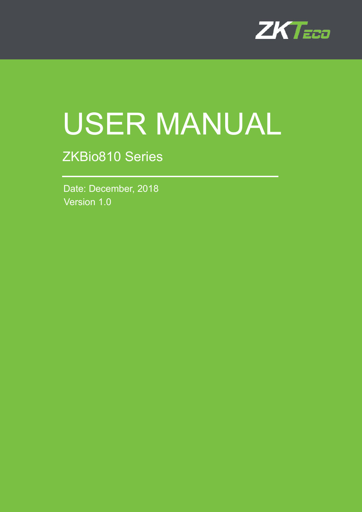

# USER MANUAL

# ZKBio810 Series

Version 1.0 Date: December, 2018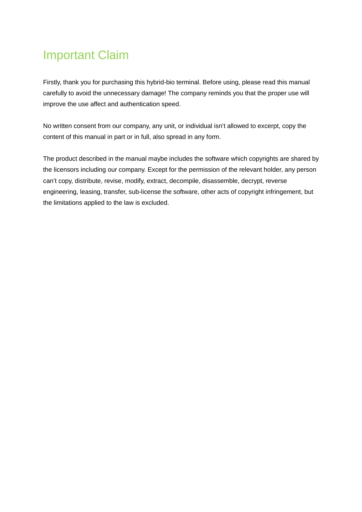## Important Claim

Firstly, thank you for purchasing this hybrid-bio terminal. Before using, please read this manual carefully to avoid the unnecessary damage! The company reminds you that the proper use will improve the use affect and authentication speed.

No written consent from our company, any unit, or individual isn't allowed to excerpt, copy the content of this manual in part or in full, also spread in any form.

The product described in the manual maybe includes the software which copyrights are shared by the licensors including our company. Except for the permission of the relevant holder, any person can't copy, distribute, revise, modify, extract, decompile, disassemble, decrypt, reverse engineering, leasing, transfer, sub-license the software, other acts of copyright infringement, but the limitations applied to the law is excluded.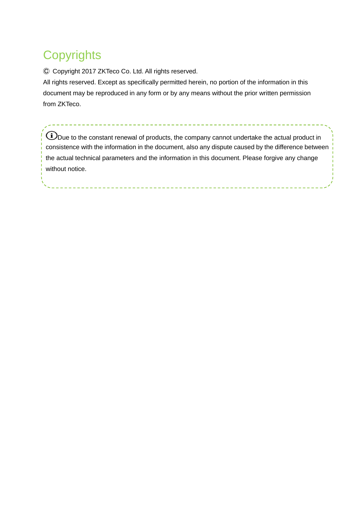# **Copyrights**

Ⓒ Copyright 2017 ZKTeco Co. Ltd. All rights reserved.

All rights reserved. Except as specifically permitted herein, no portion of the information in this document may be reproduced in any form or by any means without the prior written permission from ZKTeco.

-----------------------------

 $\bigoplus_{\text{Due to the constant renewal of products, the company cannot undertake the actual product in }$ consistence with the information in the document, also any dispute caused by the difference between the actual technical parameters and the information in this document. Please forgive any change without notice.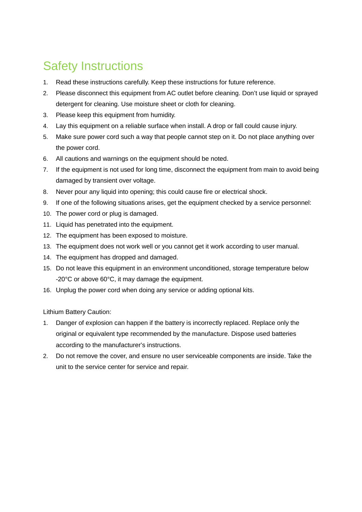# Safety Instructions

- 1. Read these instructions carefully. Keep these instructions for future reference.
- 2. Please disconnect this equipment from AC outlet before cleaning. Don't use liquid or sprayed detergent for cleaning. Use moisture sheet or cloth for cleaning.
- 3. Please keep this equipment from humidity.
- 4. Lay this equipment on a reliable surface when install. A drop or fall could cause injury.
- 5. Make sure power cord such a way that people cannot step on it. Do not place anything over the power cord.
- 6. All cautions and warnings on the equipment should be noted.
- 7. If the equipment is not used for long time, disconnect the equipment from main to avoid being damaged by transient over voltage.
- 8. Never pour any liquid into opening; this could cause fire or electrical shock.
- 9. If one of the following situations arises, get the equipment checked by a service personnel:
- 10. The power cord or plug is damaged.
- 11. Liquid has penetrated into the equipment.
- 12. The equipment has been exposed to moisture.
- 13. The equipment does not work well or you cannot get it work according to user manual.
- 14. The equipment has dropped and damaged.
- 15. Do not leave this equipment in an environment unconditioned, storage temperature below -20°C or above 60°C, it may damage the equipment.
- 16. Unplug the power cord when doing any service or adding optional kits.

Lithium Battery Caution:

- 1. Danger of explosion can happen if the battery is incorrectly replaced. Replace only the original or equivalent type recommended by the manufacture. Dispose used batteries according to the manufacturer's instructions.
- 2. Do not remove the cover, and ensure no user serviceable components are inside. Take the unit to the service center for service and repair.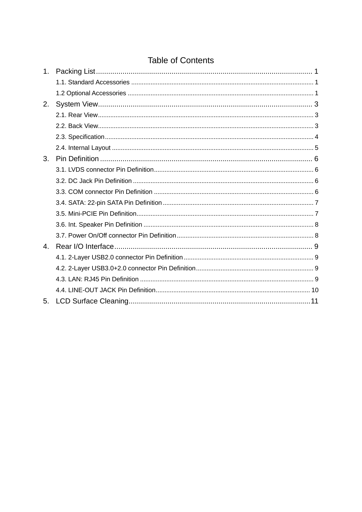#### **Table of Contents**

| 1 <sub>1</sub> |  |
|----------------|--|
|                |  |
|                |  |
| 2.             |  |
|                |  |
|                |  |
|                |  |
|                |  |
| 3.             |  |
|                |  |
|                |  |
|                |  |
|                |  |
|                |  |
|                |  |
|                |  |
| 4.             |  |
|                |  |
|                |  |
|                |  |
|                |  |
| 5.             |  |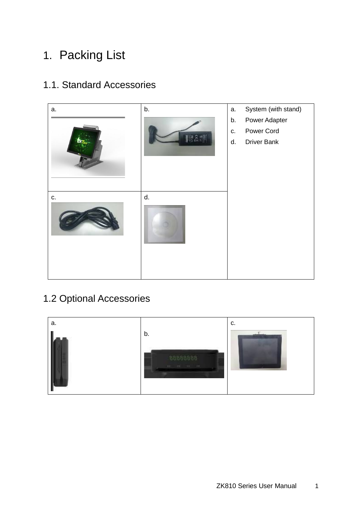# <span id="page-5-0"></span>1. Packing List

#### <span id="page-5-1"></span>1.1. Standard Accessories



## <span id="page-5-2"></span>1.2 Optional Accessories

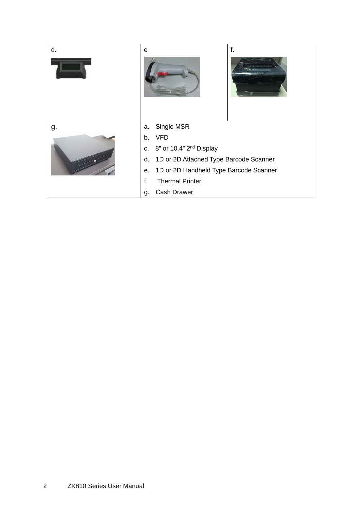| d. | e                                                                                                                                                                                                                                   | f. |
|----|-------------------------------------------------------------------------------------------------------------------------------------------------------------------------------------------------------------------------------------|----|
| g. | Single MSR<br>a.<br><b>VFD</b><br>b.<br>c. 8" or 10.4" 2 <sup>nd</sup> Display<br>1D or 2D Attached Type Barcode Scanner<br>d.<br>1D or 2D Handheld Type Barcode Scanner<br>е.<br><b>Thermal Printer</b><br>f.<br>Cash Drawer<br>g. |    |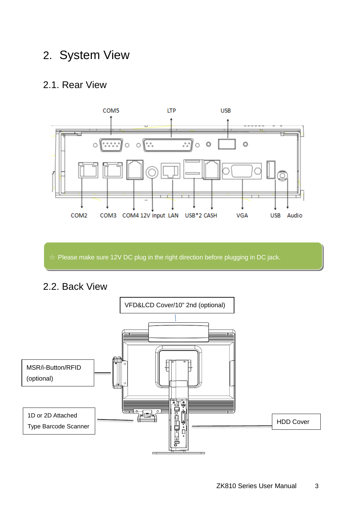## <span id="page-7-0"></span>2. System View

#### <span id="page-7-1"></span>2.1. Rear View



☆ Please make sure 12V DC plug in the right direction before plugging in DC jack.

<span id="page-7-2"></span>2.2. Back View

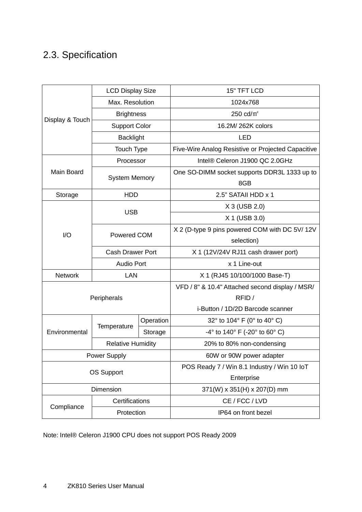## <span id="page-8-0"></span>2.3. Specification

|                       | <b>LCD Display Size</b>  |         | 15" TFT LCD                                         |  |
|-----------------------|--------------------------|---------|-----------------------------------------------------|--|
|                       | Max. Resolution          |         | 1024x768                                            |  |
|                       | <b>Brightness</b>        |         | 250 $cd/m2$                                         |  |
| Display & Touch       | <b>Support Color</b>     |         | 16.2M/ 262K colors                                  |  |
|                       | <b>Backlight</b>         |         | <b>LED</b>                                          |  |
|                       | Touch Type               |         | Five-Wire Analog Resistive or Projected Capacitive  |  |
|                       | Processor                |         | Intel® Celeron J1900 QC 2.0GHz                      |  |
| Main Board            | <b>System Memory</b>     |         | One SO-DIMM socket supports DDR3L 1333 up to<br>8GB |  |
| Storage               | <b>HDD</b>               |         | 2.5" SATAII HDD x 1                                 |  |
|                       |                          |         | X 3 (USB 2.0)                                       |  |
|                       | <b>USB</b>               |         | X 1 (USB 3.0)                                       |  |
| I/O                   | Powered COM              |         | X 2 (D-type 9 pins powered COM with DC 5V/12V       |  |
|                       |                          |         | selection)                                          |  |
|                       | <b>Cash Drawer Port</b>  |         | X 1 (12V/24V RJ11 cash drawer port)                 |  |
|                       | <b>Audio Port</b>        |         | x 1 Line-out                                        |  |
| Network<br><b>LAN</b> |                          |         | X 1 (RJ45 10/100/1000 Base-T)                       |  |
|                       |                          |         | VFD / 8" & 10.4" Attached second display / MSR/     |  |
|                       | Peripherals              |         | RFID/                                               |  |
|                       |                          |         | i-Button / 1D/2D Barcode scanner                    |  |
|                       | Operation<br>Temperature |         | 32° to 104° F (0° to 40° C)                         |  |
| Environmental         |                          | Storage | $-4^{\circ}$ to 140° F ( $-20^{\circ}$ to 60° C)    |  |
|                       | <b>Relative Humidity</b> |         | 20% to 80% non-condensing                           |  |
| Power Supply          |                          |         | 60W or 90W power adapter                            |  |
| <b>OS Support</b>     |                          |         | POS Ready 7 / Win 8.1 Industry / Win 10 IoT         |  |
|                       |                          |         | Enterprise                                          |  |
| Dimension             |                          |         | 371(W) x 351(H) x 207(D) mm                         |  |
|                       | Certifications           |         | CE / FCC / LVD                                      |  |
| Compliance            | Protection               |         | IP64 on front bezel                                 |  |

Note: Intel® Celeron J1900 CPU does not support POS Ready 2009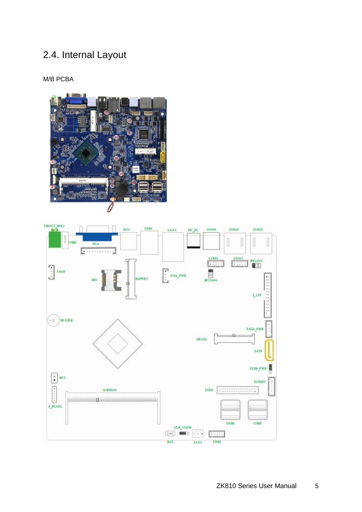## <span id="page-9-0"></span>2.4. Internal Layout

M/B PCBA



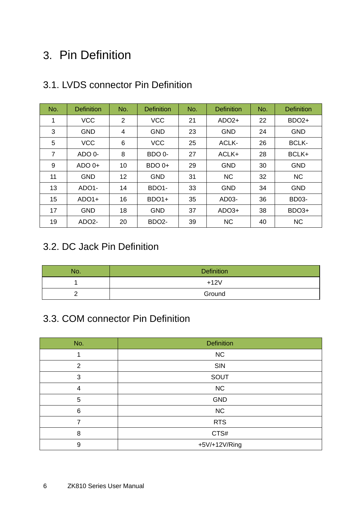## <span id="page-10-0"></span>3. Pin Definition

| No.            | <b>Definition</b>  | No. | <b>Definition</b>  | No. | <b>Definition</b> | No. | <b>Definition</b> |
|----------------|--------------------|-----|--------------------|-----|-------------------|-----|-------------------|
| 1              | <b>VCC</b>         | 2   | <b>VCC</b>         | 21  | $ADO2+$           | 22  | BDO <sub>2+</sub> |
| 3              | <b>GND</b>         | 4   | <b>GND</b>         | 23  | <b>GND</b>        | 24  | <b>GND</b>        |
| 5              | <b>VCC</b>         | 6   | <b>VCC</b>         | 25  | ACLK-             | 26  | <b>BCLK-</b>      |
| $\overline{7}$ | ADO 0-             | 8   | BDO 0-             | 27  | ACLK+             | 28  | BCLK+             |
| 9              | $ADOO+$            | 10  | BDO 0+             | 29  | <b>GND</b>        | 30  | <b>GND</b>        |
| 11             | <b>GND</b>         | 12  | <b>GND</b>         | 31  | <b>NC</b>         | 32  | <b>NC</b>         |
| 13             | ADO <sub>1</sub> - | 14  | BDO <sub>1</sub> - | 33  | <b>GND</b>        | 34  | <b>GND</b>        |
| 15             | $ADO1+$            | 16  | BDO <sub>1+</sub>  | 35  | AD03-             | 36  | <b>BD03-</b>      |
| 17             | <b>GND</b>         | 18  | <b>GND</b>         | 37  | $ADO3+$           | 38  | BDO <sub>3+</sub> |
| 19             | ADO <sub>2</sub> - | 20  | BDO <sub>2</sub> - | 39  | <b>NC</b>         | 40  | <b>NC</b>         |

#### <span id="page-10-1"></span>3.1. LVDS connector Pin Definition

#### <span id="page-10-2"></span>3.2. DC Jack Pin Definition

| No. | <b>Definition</b> |
|-----|-------------------|
|     | $+12V$            |
|     | Ground            |

#### <span id="page-10-3"></span>3.3. COM connector Pin Definition

| No. | <b>Definition</b> |
|-----|-------------------|
|     | NC                |
| 2   | SIN               |
| 3   | SOUT              |
| 4   | NC                |
| 5   | GND               |
| 6   | NC                |
|     | <b>RTS</b>        |
| 8   | CTS#              |
| 9   | +5V/+12V/Ring     |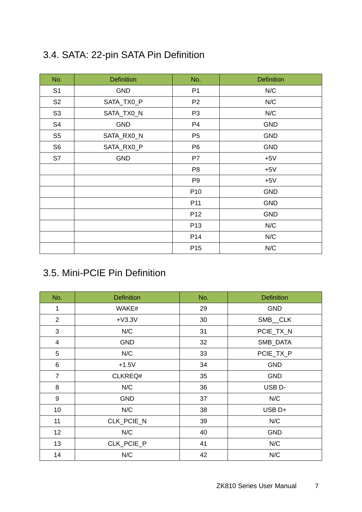## <span id="page-11-0"></span>3.4. SATA: 22-pin SATA Pin Definition

| No.            | <b>Definition</b> | No.             | <b>Definition</b> |
|----------------|-------------------|-----------------|-------------------|
| S <sub>1</sub> | <b>GND</b>        | P <sub>1</sub>  | N/C               |
| S <sub>2</sub> | SATA_TX0_P        | P <sub>2</sub>  | N/C               |
| S <sub>3</sub> | SATA_TX0_N        | P <sub>3</sub>  | N/C               |
| S4             | <b>GND</b>        | P <sub>4</sub>  | <b>GND</b>        |
| S <sub>5</sub> | SATA_RX0_N        | P <sub>5</sub>  | <b>GND</b>        |
| S <sub>6</sub> | SATA_RX0_P        | P <sub>6</sub>  | <b>GND</b>        |
| S7             | <b>GND</b>        | P7              | $+5V$             |
|                |                   | P <sub>8</sub>  | $+5V$             |
|                |                   | P <sub>9</sub>  | $+5V$             |
|                |                   | P <sub>10</sub> | <b>GND</b>        |
|                |                   | P <sub>11</sub> | <b>GND</b>        |
|                |                   | P <sub>12</sub> | <b>GND</b>        |
|                |                   | P <sub>13</sub> | N/C               |
|                |                   | P <sub>14</sub> | N/C               |
|                |                   | P <sub>15</sub> | N/C               |

## <span id="page-11-1"></span>3.5. Mini-PCIE Pin Definition

| No.            | <b>Definition</b> | No. | <b>Definition</b>  |
|----------------|-------------------|-----|--------------------|
| $\mathbf{1}$   | WAKE#             | 29  | <b>GND</b>         |
| $\overline{2}$ | $+V3.3V$          | 30  | SMB_CLK            |
| 3              | N/C               | 31  | PCIE_TX_N          |
| $\overline{4}$ | <b>GND</b>        | 32  | SMB_DATA           |
| 5              | N/C               | 33  | PCIE_TX_P          |
| 6              | $+1.5V$           | 34  | <b>GND</b>         |
| $\overline{7}$ | CLKREQ#           | 35  | <b>GND</b>         |
| 8              | N/C               | 36  | USB <sub>D</sub> - |
| 9              | <b>GND</b>        | 37  | N/C                |
| 10             | N/C               | 38  | USB <sub>D+</sub>  |
| 11             | CLK_PCIE_N        | 39  | N/C                |
| 12             | N/C               | 40  | <b>GND</b>         |
| 13             | CLK_PCIE_P        | 41  | N/C                |
| 14             | N/C               | 42  | N/C                |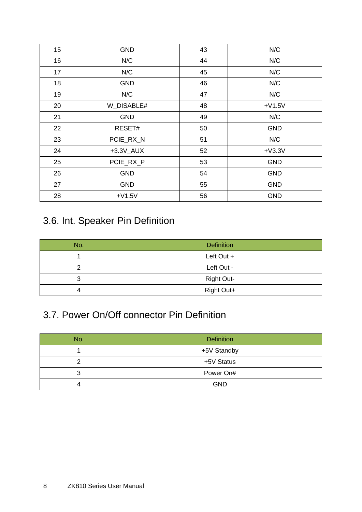| 15 | <b>GND</b>    | 43 | N/C        |
|----|---------------|----|------------|
| 16 | N/C           | 44 | N/C        |
| 17 | N/C           | 45 | N/C        |
| 18 | <b>GND</b>    | 46 | N/C        |
| 19 | N/C           | 47 | N/C        |
| 20 | W_DISABLE#    | 48 | $+V1.5V$   |
| 21 | <b>GND</b>    | 49 | N/C        |
| 22 | RESET#        | 50 | <b>GND</b> |
| 23 | PCIE_RX_N     | 51 | N/C        |
| 24 | $+3.3V$ $AUX$ | 52 | $+V3.3V$   |
| 25 | PCIE_RX_P     | 53 | <b>GND</b> |
| 26 | <b>GND</b>    | 54 | <b>GND</b> |
| 27 | <b>GND</b>    | 55 | <b>GND</b> |
| 28 | $+V1.5V$      | 56 | <b>GND</b> |

## <span id="page-12-0"></span>3.6. Int. Speaker Pin Definition

| No. | <b>Definition</b> |
|-----|-------------------|
|     | Left Out +        |
|     | Left Out -        |
|     | <b>Right Out-</b> |
|     | Right Out+        |

#### <span id="page-12-1"></span>3.7. Power On/Off connector Pin Definition

| No. | <b>Definition</b> |
|-----|-------------------|
|     | +5V Standby       |
|     | +5V Status        |
|     | Power On#         |
|     | <b>GND</b>        |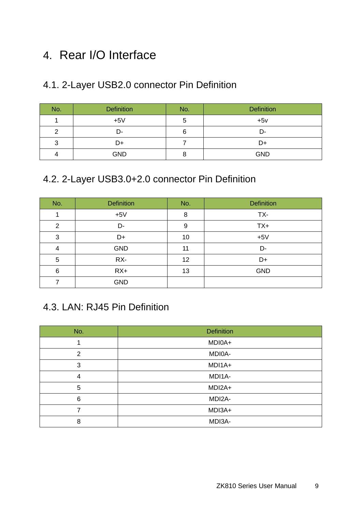## <span id="page-13-0"></span>4. Rear I/O Interface

#### <span id="page-13-1"></span>4.1. 2-Layer USB2.0 connector Pin Definition

| No. | <b>Definition</b> | No. | <b>Definition</b> |
|-----|-------------------|-----|-------------------|
|     | $+5V$             | C   | $+5v$             |
|     | D-                | 6   | D-                |
| 3   | D+                |     | D+                |
|     | <b>GND</b>        |     | <b>GND</b>        |

#### <span id="page-13-2"></span>4.2. 2-Layer USB3.0+2.0 connector Pin Definition

| No.            | <b>Definition</b> | No. | <b>Definition</b> |
|----------------|-------------------|-----|-------------------|
|                | $+5V$             | 8   | TX-               |
| $\overline{2}$ | D-                | 9   | $TX+$             |
| 3              | D+                | 10  | $+5V$             |
| 4              | <b>GND</b>        | 11  | D-                |
| 5              | RX-               | 12  | D+                |
| 6              | $RX+$             | 13  | <b>GND</b>        |
|                | <b>GND</b>        |     |                   |

#### <span id="page-13-3"></span>4.3. LAN: RJ45 Pin Definition

| No.            | <b>Definition</b> |
|----------------|-------------------|
|                | MDI0A+            |
| $\overline{2}$ | MDI0A-            |
| 3              | MDI1A+            |
| 4              | MDI1A-            |
| 5              | MDI2A+            |
| 6              | MDI2A-            |
|                | MDI3A+            |
| 8              | MDI3A-            |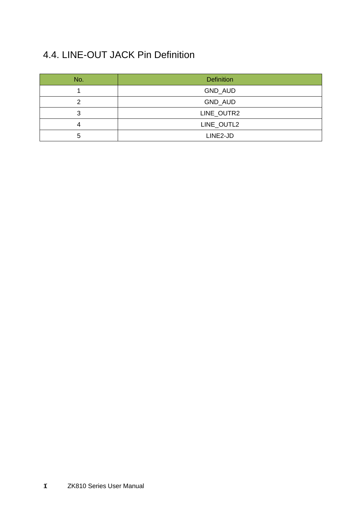## <span id="page-14-0"></span>4.4. LINE-OUT JACK Pin Definition

| No. | <b>Definition</b> |
|-----|-------------------|
|     | GND_AUD           |
| ົ   | GND_AUD           |
|     | LINE_OUTR2        |
| -   | LINE_OUTL2        |
| 5   | LINE2-JD          |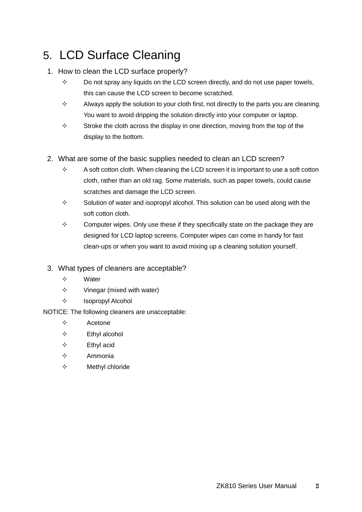## <span id="page-15-0"></span>5. LCD Surface Cleaning

#### 1. How to clean the LCD surface properly?

- $\diamond$  Do not spray any liquids on the LCD screen directly, and do not use paper towels, this can cause the LCD screen to become scratched.
- $\Diamond$  Always apply the solution to your cloth first, not directly to the parts you are cleaning. You want to avoid dripping the solution directly into your computer or laptop.
- $\diamond$  Stroke the cloth across the display in one direction, moving from the top of the display to the bottom.
- 2. What are some of the basic supplies needed to clean an LCD screen?
	- $\Diamond$  A soft cotton cloth. When cleaning the LCD screen it is important to use a soft cotton cloth, rather than an old rag. Some materials, such as paper towels, could cause scratches and damage the LCD screen.
	- $\Diamond$  Solution of water and isopropyl alcohol. This solution can be used along with the soft cotton cloth.
	- $\diamond$  Computer wipes. Only use these if they specifically state on the package they are designed for LCD laptop screens. Computer wipes can come in handy for fast clean-ups or when you want to avoid mixing up a cleaning solution yourself.
- 3. What types of cleaners are acceptable?
	- $\Leftrightarrow$  Water
	- $\diamond$  Vinegar (mixed with water)
	- $\Leftrightarrow$  Isopropyl Alcohol
- NOTICE: The following cleaners are unacceptable:
	- $\Leftrightarrow$  Acetone
	- $\Leftrightarrow$  Ethyl alcohol
	- $\Leftrightarrow$  Ethyl acid
	- $\Leftrightarrow$  Ammonia
	- $\Leftrightarrow$  Methyl chloride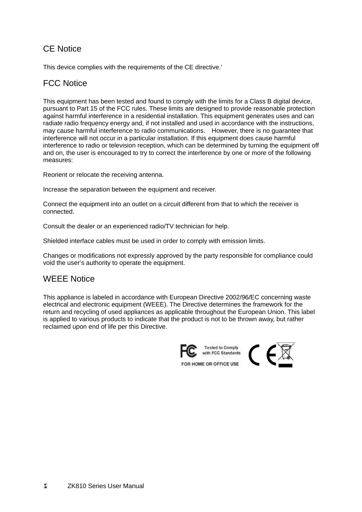#### CE Notice

This device complies with the requirements of the CE directive.'

#### FCC Notice

This equipment has been tested and found to comply with the limits for a Class B digital device, pursuant to Part 15 of the FCC rules. These limits are designed to provide reasonable protection against harmful interference in a residential installation. This equipment generates uses and can radiate radio frequency energy and, if not installed and used in accordance with the instructions, may cause harmful interference to radio communications. However, there is no guarantee that interference will not occur in a particular installation. If this equipment does cause harmful interference to radio or television reception, which can be determined by turning the equipment off and on, the user is encouraged to try to correct the interference by one or more of the following measures:

Reorient or relocate the receiving antenna.

Increase the separation between the equipment and receiver.

Connect the equipment into an outlet on a circuit different from that to which the receiver is connected.

Consult the dealer or an experienced radio/TV technician for help.

Shielded interface cables must be used in order to comply with emission limits.

Changes or modifications not expressly approved by the party responsible for compliance could void the user's authority to operate the equipment.

#### WEEE Notice

This appliance is labeled in accordance with European Directive 2002/96/EC concerning waste electrical and electronic equipment (WEEE). The Directive determines the framework for the return and recycling of used appliances as applicable throughout the European Union. This label is applied to various products to indicate that the product is not to be thrown away, but rather reclaimed upon end of life per this Directive.